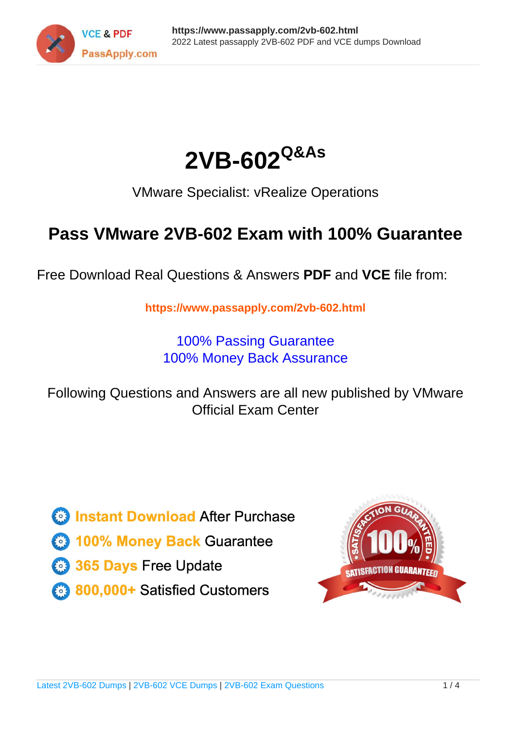



VMware Specialist: vRealize Operations

# **Pass VMware 2VB-602 Exam with 100% Guarantee**

Free Download Real Questions & Answers **PDF** and **VCE** file from:

**https://www.passapply.com/2vb-602.html**

100% Passing Guarantee 100% Money Back Assurance

Following Questions and Answers are all new published by VMware Official Exam Center

**C** Instant Download After Purchase

**83 100% Money Back Guarantee** 

- 365 Days Free Update
- 800,000+ Satisfied Customers

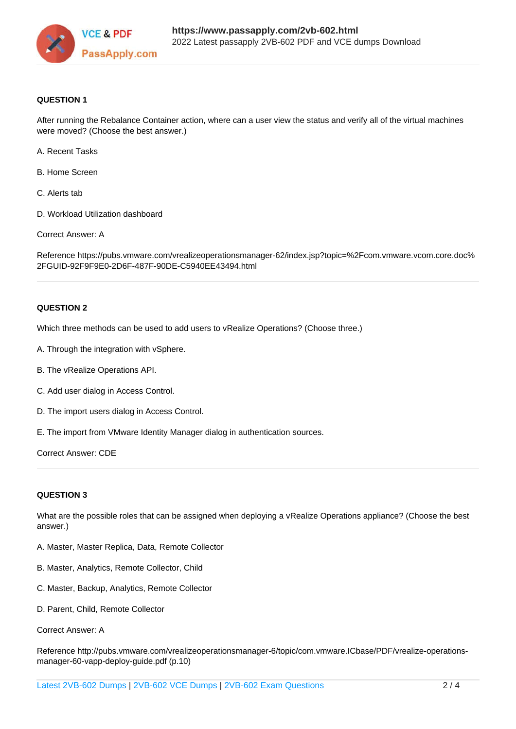

### **QUESTION 1**

After running the Rebalance Container action, where can a user view the status and verify all of the virtual machines were moved? (Choose the best answer.)

- A. Recent Tasks
- B. Home Screen
- C. Alerts tab
- D. Workload Utilization dashboard
- Correct Answer: A

Reference https://pubs.vmware.com/vrealizeoperationsmanager-62/index.jsp?topic=%2Fcom.vmware.vcom.core.doc% 2FGUID-92F9F9E0-2D6F-487F-90DE-C5940EE43494.html

### **QUESTION 2**

Which three methods can be used to add users to vRealize Operations? (Choose three.)

- A. Through the integration with vSphere.
- B. The vRealize Operations API.
- C. Add user dialog in Access Control.
- D. The import users dialog in Access Control.
- E. The import from VMware Identity Manager dialog in authentication sources.

Correct Answer: CDE

# **QUESTION 3**

What are the possible roles that can be assigned when deploying a vRealize Operations appliance? (Choose the best answer.)

- A. Master, Master Replica, Data, Remote Collector
- B. Master, Analytics, Remote Collector, Child
- C. Master, Backup, Analytics, Remote Collector
- D. Parent, Child, Remote Collector

Correct Answer: A

Reference http://pubs.vmware.com/vrealizeoperationsmanager-6/topic/com.vmware.ICbase/PDF/vrealize-operationsmanager-60-vapp-deploy-guide.pdf (p.10)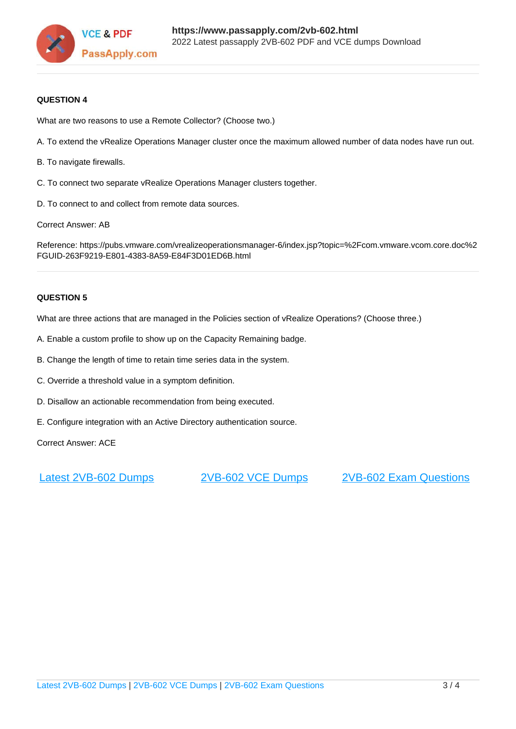

# **QUESTION 4**

What are two reasons to use a Remote Collector? (Choose two.)

- A. To extend the vRealize Operations Manager cluster once the maximum allowed number of data nodes have run out.
- B. To navigate firewalls.
- C. To connect two separate vRealize Operations Manager clusters together.
- D. To connect to and collect from remote data sources.

Correct Answer: AB

Reference: https://pubs.vmware.com/vrealizeoperationsmanager-6/index.jsp?topic=%2Fcom.vmware.vcom.core.doc%2 FGUID-263F9219-E801-4383-8A59-E84F3D01ED6B.html

### **QUESTION 5**

What are three actions that are managed in the Policies section of vRealize Operations? (Choose three.)

- A. Enable a custom profile to show up on the Capacity Remaining badge.
- B. Change the length of time to retain time series data in the system.
- C. Override a threshold value in a symptom definition.
- D. Disallow an actionable recommendation from being executed.
- E. Configure integration with an Active Directory authentication source.

Correct Answer: ACE

[Latest 2VB-602 Dumps](https://www.passapply.com/2vb-602.html) [2VB-602 VCE Dumps](https://www.passapply.com/2vb-602.html) [2VB-602 Exam Questions](https://www.passapply.com/2vb-602.html)